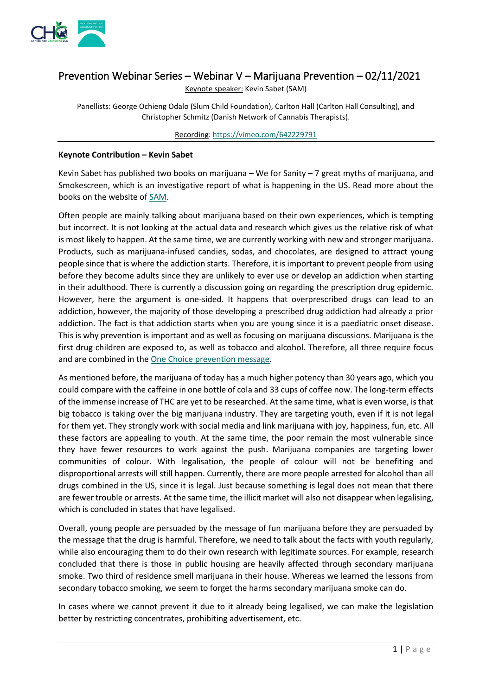

# Prevention Webinar Series – Webinar V – Marijuana Prevention – 02/11/2021

Keynote speaker: Kevin Sabet (SAM)

Panellists: George Ochieng Odalo (Slum Child Foundation), Carlton Hall (Carlton Hall Consulting), and Christopher Schmitz (Danish Network of Cannabis Therapists).

Recording[: https://vimeo.com/642229791](https://vimeo.com/642229791)

#### **Keynote Contribution – Kevin Sabet**

Kevin Sabet has published two books on marijuana – We for Sanity – 7 great myths of marijuana, and Smokescreen, which is an investigative report of what is happening in the US. Read more about the books on the website of [SAM.](https://learnaboutsam.org/)

Often people are mainly talking about marijuana based on their own experiences, which is tempting but incorrect. It is not looking at the actual data and research which gives us the relative risk of what is most likely to happen. At the same time, we are currently working with new and stronger marijuana. Products, such as marijuana-infused candies, sodas, and chocolates, are designed to attract young people since that is where the addiction starts. Therefore, it is important to prevent people from using before they become adults since they are unlikely to ever use or develop an addiction when starting in their adulthood. There is currently a discussion going on regarding the prescription drug epidemic. However, here the argument is one-sided. It happens that overprescribed drugs can lead to an addiction, however, the majority of those developing a prescribed drug addiction had already a prior addiction. The fact is that addiction starts when you are young since it is a paediatric onset disease. This is why prevention is important and as well as focusing on marijuana discussions. Marijuana is the first drug children are exposed to, as well as tobacco and alcohol. Therefore, all three require focus and are combined in th[e One Choice prevention message.](https://onechoiceprevention.org/)

As mentioned before, the marijuana of today has a much higher potency than 30 years ago, which you could compare with the caffeine in one bottle of cola and 33 cups of coffee now. The long-term effects of the immense increase of THC are yet to be researched. At the same time, what is even worse, is that big tobacco is taking over the big marijuana industry. They are targeting youth, even if it is not legal for them yet. They strongly work with social media and link marijuana with joy, happiness, fun, etc. All these factors are appealing to youth. At the same time, the poor remain the most vulnerable since they have fewer resources to work against the push. Marijuana companies are targeting lower communities of colour. With legalisation, the people of colour will not be benefiting and disproportional arrests will still happen. Currently, there are more people arrested for alcohol than all drugs combined in the US, since it is legal. Just because something is legal does not mean that there are fewer trouble or arrests. At the same time, the illicit market will also not disappear when legalising, which is concluded in states that have legalised.

Overall, young people are persuaded by the message of fun marijuana before they are persuaded by the message that the drug is harmful. Therefore, we need to talk about the facts with youth regularly, while also encouraging them to do their own research with legitimate sources. For example, research concluded that there is those in public housing are heavily affected through secondary marijuana smoke. Two third of residence smell marijuana in their house. Whereas we learned the lessons from secondary tobacco smoking, we seem to forget the harms secondary marijuana smoke can do.

In cases where we cannot prevent it due to it already being legalised, we can make the legislation better by restricting concentrates, prohibiting advertisement, etc.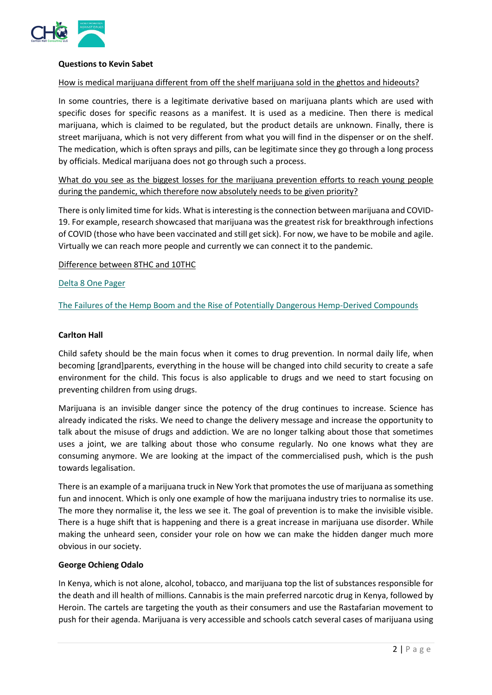

### **Questions to Kevin Sabet**

### How is medical marijuana different from off the shelf marijuana sold in the ghettos and hideouts?

In some countries, there is a legitimate derivative based on marijuana plants which are used with specific doses for specific reasons as a manifest. It is used as a medicine. Then there is medical marijuana, which is claimed to be regulated, but the product details are unknown. Finally, there is street marijuana, which is not very different from what you will find in the dispenser or on the shelf. The medication, which is often sprays and pills, can be legitimate since they go through a long process by officials. Medical marijuana does not go through such a process.

What do you see as the biggest losses for the marijuana prevention efforts to reach young people during the pandemic, which therefore now absolutely needs to be given priority?

There is only limited time for kids. What is interesting is the connection between marijuana and COVID-19. For example, research showcased that marijuana was the greatest risk for breakthrough infections of COVID (those who have been vaccinated and still get sick). For now, we have to be mobile and agile. Virtually we can reach more people and currently we can connect it to the pandemic.

Difference between 8THC and 10THC

#### [Delta 8 One Pager](https://learnaboutsam.org/wp-content/uploads/2021/07/Delta8THCExplainer.pdf)

[The Failures of the Hemp Boom and the Rise of Potentially Dangerous Hemp-Derived Compounds](https://learnaboutsam.org/wp-content/uploads/2021/09/8-23-21-FarmBill-HempDerivatives.pdf)

#### **Carlton Hall**

Child safety should be the main focus when it comes to drug prevention. In normal daily life, when becoming [grand]parents, everything in the house will be changed into child security to create a safe environment for the child. This focus is also applicable to drugs and we need to start focusing on preventing children from using drugs.

Marijuana is an invisible danger since the potency of the drug continues to increase. Science has already indicated the risks. We need to change the delivery message and increase the opportunity to talk about the misuse of drugs and addiction. We are no longer talking about those that sometimes uses a joint, we are talking about those who consume regularly. No one knows what they are consuming anymore. We are looking at the impact of the commercialised push, which is the push towards legalisation.

There is an example of a marijuana truck in New York that promotes the use of marijuana as something fun and innocent. Which is only one example of how the marijuana industry tries to normalise its use. The more they normalise it, the less we see it. The goal of prevention is to make the invisible visible. There is a huge shift that is happening and there is a great increase in marijuana use disorder. While making the unheard seen, consider your role on how we can make the hidden danger much more obvious in our society.

#### **George Ochieng Odalo**

In Kenya, which is not alone, alcohol, tobacco, and marijuana top the list of substances responsible for the death and ill health of millions. Cannabis is the main preferred narcotic drug in Kenya, followed by Heroin. The cartels are targeting the youth as their consumers and use the Rastafarian movement to push for their agenda. Marijuana is very accessible and schools catch several cases of marijuana using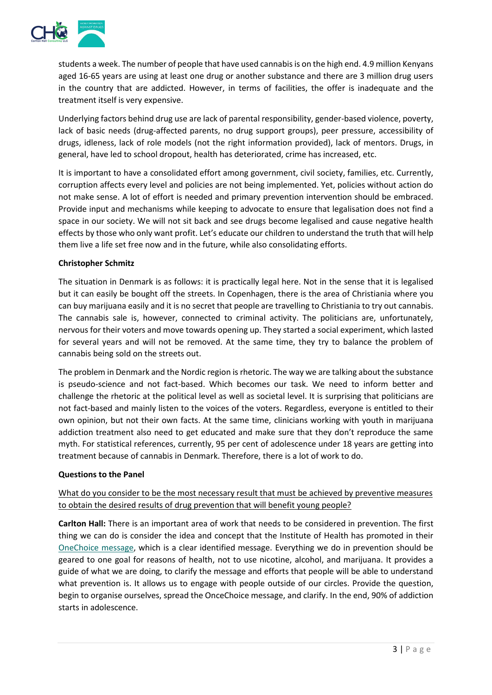

students a week. The number of people that have used cannabis is on the high end. 4.9 million Kenyans aged 16-65 years are using at least one drug or another substance and there are 3 million drug users in the country that are addicted. However, in terms of facilities, the offer is inadequate and the treatment itself is very expensive.

Underlying factors behind drug use are lack of parental responsibility, gender-based violence, poverty, lack of basic needs (drug-affected parents, no drug support groups), peer pressure, accessibility of drugs, idleness, lack of role models (not the right information provided), lack of mentors. Drugs, in general, have led to school dropout, health has deteriorated, crime has increased, etc.

It is important to have a consolidated effort among government, civil society, families, etc. Currently, corruption affects every level and policies are not being implemented. Yet, policies without action do not make sense. A lot of effort is needed and primary prevention intervention should be embraced. Provide input and mechanisms while keeping to advocate to ensure that legalisation does not find a space in our society. We will not sit back and see drugs become legalised and cause negative health effects by those who only want profit. Let's educate our children to understand the truth that will help them live a life set free now and in the future, while also consolidating efforts.

### **Christopher Schmitz**

The situation in Denmark is as follows: it is practically legal here. Not in the sense that it is legalised but it can easily be bought off the streets. In Copenhagen, there is the area of Christiania where you can buy marijuana easily and it is no secret that people are travelling to Christiania to try out cannabis. The cannabis sale is, however, connected to criminal activity. The politicians are, unfortunately, nervous for their voters and move towards opening up. They started a social experiment, which lasted for several years and will not be removed. At the same time, they try to balance the problem of cannabis being sold on the streets out.

The problem in Denmark and the Nordic region is rhetoric. The way we are talking about the substance is pseudo-science and not fact-based. Which becomes our task. We need to inform better and challenge the rhetoric at the political level as well as societal level. It is surprising that politicians are not fact-based and mainly listen to the voices of the voters. Regardless, everyone is entitled to their own opinion, but not their own facts. At the same time, clinicians working with youth in marijuana addiction treatment also need to get educated and make sure that they don't reproduce the same myth. For statistical references, currently, 95 per cent of adolescence under 18 years are getting into treatment because of cannabis in Denmark. Therefore, there is a lot of work to do.

#### **Questions to the Panel**

# What do you consider to be the most necessary result that must be achieved by preventive measures to obtain the desired results of drug prevention that will benefit young people?

**Carlton Hall:** There is an important area of work that needs to be considered in prevention. The first thing we can do is consider the idea and concept that the Institute of Health has promoted in their [OneChoice message,](https://onechoiceprevention.org/) which is a clear identified message. Everything we do in prevention should be geared to one goal for reasons of health, not to use nicotine, alcohol, and marijuana. It provides a guide of what we are doing, to clarify the message and efforts that people will be able to understand what prevention is. It allows us to engage with people outside of our circles. Provide the question, begin to organise ourselves, spread the OnceChoice message, and clarify. In the end, 90% of addiction starts in adolescence.